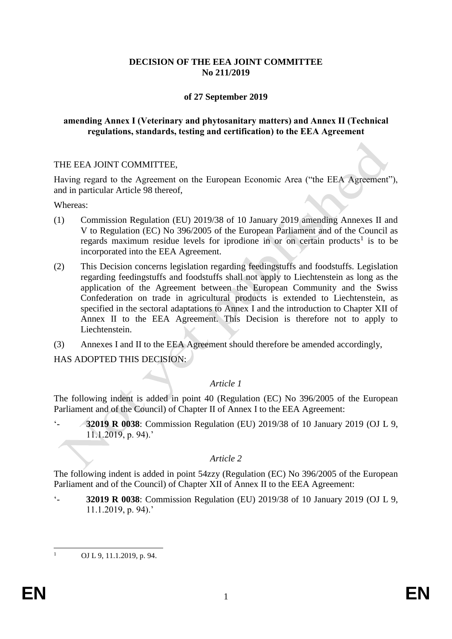## **DECISION OF THE EEA JOINT COMMITTEE No 211/2019**

## **of 27 September 2019**

#### **amending Annex I (Veterinary and phytosanitary matters) and Annex II (Technical regulations, standards, testing and certification) to the EEA Agreement**

#### THE EEA JOINT COMMITTEE,

Having regard to the Agreement on the European Economic Area ("the EEA Agreement"), and in particular Article 98 thereof,

Whereas:

- (1) Commission Regulation (EU) 2019/38 of 10 January 2019 amending Annexes II and V to Regulation (EC) No 396/2005 of the European Parliament and of the Council as regards maximum residue levels for iprodione in or on certain products<sup>1</sup> is to be incorporated into the EEA Agreement.
- (2) This Decision concerns legislation regarding feedingstuffs and foodstuffs. Legislation regarding feedingstuffs and foodstuffs shall not apply to Liechtenstein as long as the application of the Agreement between the European Community and the Swiss Confederation on trade in agricultural products is extended to Liechtenstein, as specified in the sectoral adaptations to Annex I and the introduction to Chapter XII of Annex II to the EEA Agreement. This Decision is therefore not to apply to Liechtenstein.
- (3) Annexes I and II to the EEA Agreement should therefore be amended accordingly,

HAS ADOPTED THIS DECISION:

# *Article 1*

The following indent is added in point 40 (Regulation (EC) No 396/2005 of the European Parliament and of the Council) of Chapter II of Annex I to the EEA Agreement:

'- **32019 R 0038**: Commission Regulation (EU) 2019/38 of 10 January 2019 (OJ L 9, 11.1.2019, p. 94).'

# *Article 2*

The following indent is added in point 54zzy (Regulation (EC) No 396/2005 of the European Parliament and of the Council) of Chapter XII of Annex II to the EEA Agreement:

'- **32019 R 0038**: Commission Regulation (EU) 2019/38 of 10 January 2019 (OJ L 9, 11.1.2019, p. 94).'

 $1$ OJ L 9, 11.1.2019, p. 94.